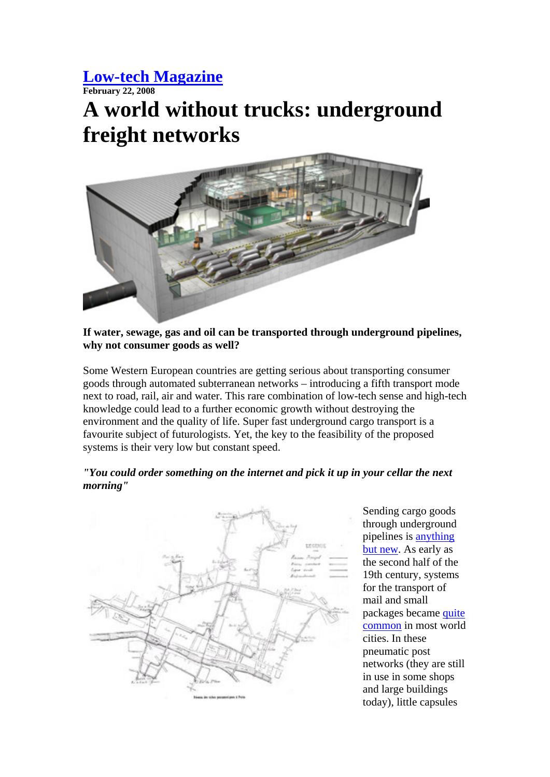#### **Low-tech Magazine**

**February 22, 2008** 

# **A world without trucks: underground freight networks**



#### **If water, sewage, gas and oil can be transported through underground pipelines, why not consumer goods as well?**

Some Western European countries are getting serious about transporting consumer goods through automated subterranean networks – introducing a fifth transport mode next to road, rail, air and water. This rare combination of low-tech sense and high-tech knowledge could lead to a further economic growth without destroying the environment and the quality of life. Super fast underground cargo transport is a favourite subject of futurologists. Yet, the key to the feasibility of the proposed systems is their very low but constant speed.

#### *"You could order something on the internet and pick it up in your cellar the next morning"*



Sending cargo goods through underground pipelines is anything but new. As early as the second half of the 19th century, systems for the transport of mail and small packages became quite common in most world cities. In these pneumatic post networks (they are still in use in some shops and large buildings today), little capsules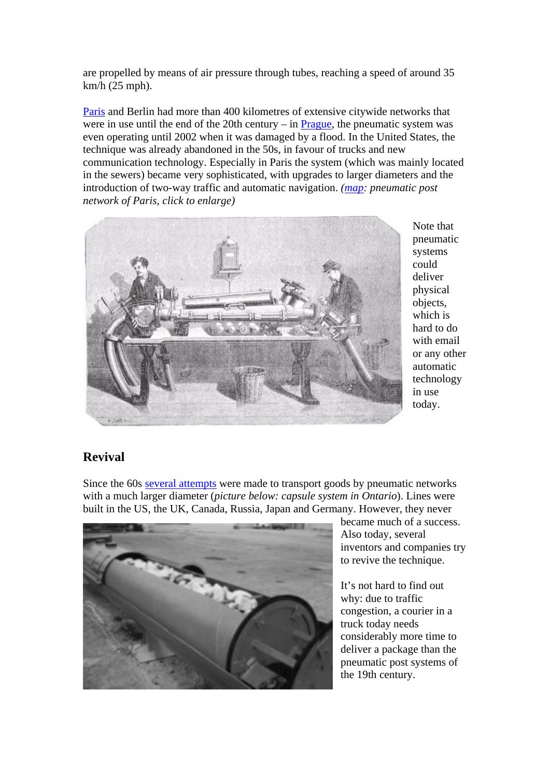are propelled by means of air pressure through tubes, reaching a speed of around 35 km/h (25 mph).

Paris and Berlin had more than 400 kilometres of extensive citywide networks that were in use until the end of the 20th century – in **, the pneumatic system was** even operating until 2002 when it was damaged by a flood. In the United States, the technique was already abandoned in the 50s, in favour of trucks and new communication technology. Especially in Paris the system (which was mainly located in the sewers) became very sophisticated, with upgrades to larger diameters and the introduction of two-way traffic and automatic navigation. *(map: pneumatic post network of Paris, click to enlarge)*



Note that pneumatic systems could deliver physical objects, which is hard to do with email or any other automatic technology in use today.

#### **Revival**

Since the 60s several attempts were made to transport goods by pneumatic networks with a much larger diameter (*picture below: capsule system in Ontario*). Lines were built in the US, the UK, Canada, Russia, Japan and Germany. However, they never



became much of a success. Also today, several inventors and companies try to revive the technique.

It's not hard to find out why: due to traffic congestion, a courier in a truck today needs considerably more time to deliver a package than the pneumatic post systems of the 19th century.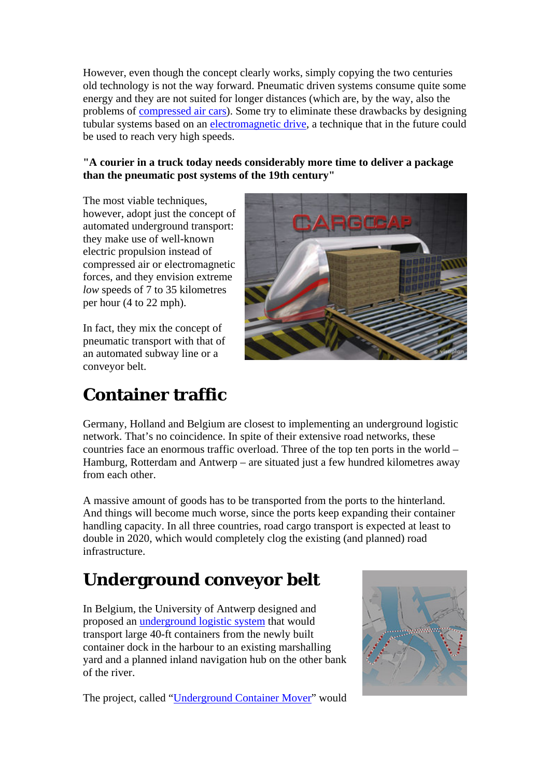However, even though the concept clearly works, simply copying the two centuries old technology is not the way forward. Pneumatic driven systems consume quite some energy and they are not suited for longer distances (which are, by the way, also the problems of compressed air cars). Some try to eliminate these drawbacks by designing tubular systems based on an electromagnetic drive, a technique that in the future could be used to reach very high speeds.

#### **"A courier in a truck today needs considerably more time to deliver a package than the pneumatic post systems of the 19th century"**

The most viable techniques, however, adopt just the concept of automated underground transport: they make use of well-known electric propulsion instead of compressed air or electromagnetic forces, and they envision extreme *low* speeds of 7 to 35 kilometres per hour (4 to 22 mph).

In fact, they mix the concept of pneumatic transport with that of an automated subway line or a conveyor belt.



### **Container traffic**

Germany, Holland and Belgium are closest to implementing an underground logistic network. That's no coincidence. In spite of their extensive road networks, these countries face an enormous traffic overload. Three of the top ten ports in the world – Hamburg, Rotterdam and Antwerp – are situated just a few hundred kilometres away from each other.

A massive amount of goods has to be transported from the ports to the hinterland. And things will become much worse, since the ports keep expanding their container handling capacity. In all three countries, road cargo transport is expected at least to double in 2020, which would completely clog the existing (and planned) road infrastructure.

## **Underground conveyor belt**

In Belgium, the University of Antwerp designed and proposed an underground logistic system that would transport large 40-ft containers from the newly built container dock in the harbour to an existing marshalling yard and a planned inland navigation hub on the other bank of the river.

The project, called "Underground Container Mover" would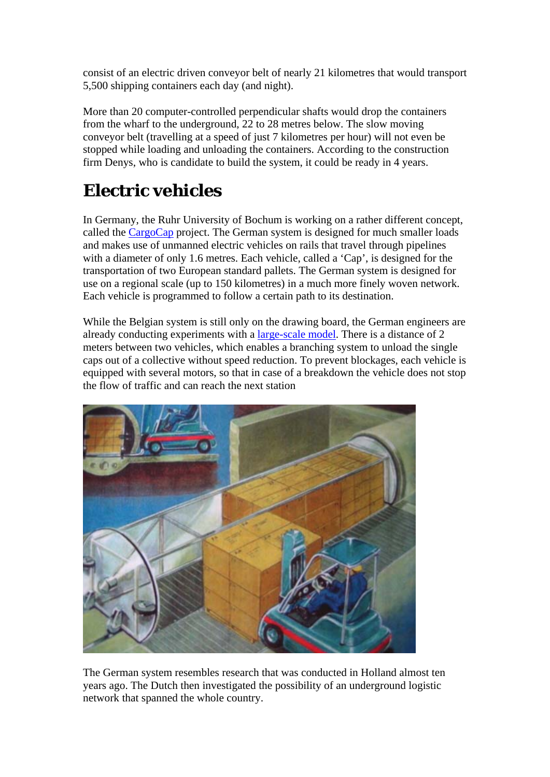consist of an electric driven conveyor belt of nearly 21 kilometres that would transport 5,500 shipping containers each day (and night).

More than 20 computer-controlled perpendicular shafts would drop the containers from the wharf to the underground, 22 to 28 metres below. The slow moving conveyor belt (travelling at a speed of just 7 kilometres per hour) will not even be stopped while loading and unloading the containers. According to the construction firm Denys, who is candidate to build the system, it could be ready in 4 years.

## **Electric vehicles**

In Germany, the Ruhr University of Bochum is working on a rather different concept, called the CargoCap project. The German system is designed for much smaller loads and makes use of unmanned electric vehicles on rails that travel through pipelines with a diameter of only 1.6 metres. Each vehicle, called a 'Cap', is designed for the transportation of two European standard pallets. The German system is designed for use on a regional scale (up to 150 kilometres) in a much more finely woven network. Each vehicle is programmed to follow a certain path to its destination.

While the Belgian system is still only on the drawing board, the German engineers are already conducting experiments with a large-scale model. There is a distance of 2 meters between two vehicles, which enables a branching system to unload the single caps out of a collective without speed reduction. To prevent blockages, each vehicle is equipped with several motors, so that in case of a breakdown the vehicle does not stop the flow of traffic and can reach the next station



The German system resembles research that was conducted in Holland almost ten years ago. The Dutch then investigated the possibility of an underground logistic network that spanned the whole country.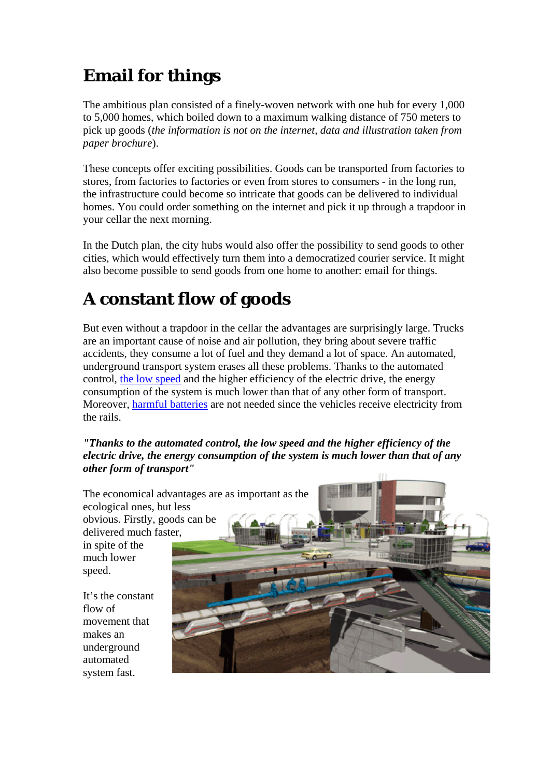### **Email for things**

The ambitious plan consisted of a finely-woven network with one hub for every 1,000 to 5,000 homes, which boiled down to a maximum walking distance of 750 meters to pick up goods (*the information is not on the internet, data and illustration taken from paper brochure*).

These concepts offer exciting possibilities. Goods can be transported from factories to stores, from factories to factories or even from stores to consumers - in the long run, the infrastructure could become so intricate that goods can be delivered to individual homes. You could order something on the internet and pick it up through a trapdoor in your cellar the next morning.

In the Dutch plan, the city hubs would also offer the possibility to send goods to other cities, which would effectively turn them into a democratized courier service. It might also become possible to send goods from one home to another: email for things.

### **A constant flow of goods**

But even without a trapdoor in the cellar the advantages are surprisingly large. Trucks are an important cause of noise and air pollution, they bring about severe traffic accidents, they consume a lot of fuel and they demand a lot of space. An automated, underground transport system erases all these problems. Thanks to the automated control, the low speed and the higher efficiency of the electric drive, the energy consumption of the system is much lower than that of any other form of transport. Moreover, harmful batteries are not needed since the vehicles receive electricity from the rails.

#### *"Thanks to the automated control, the low speed and the higher efficiency of the electric drive, the energy consumption of the system is much lower than that of any other form of transport"*

The economical advantages are as important as the ecological ones, but less obvious. Firstly, goods can be delivered much faster, in spite of the much lower speed.

It's the constant flow of movement that makes an underground automated system fast.